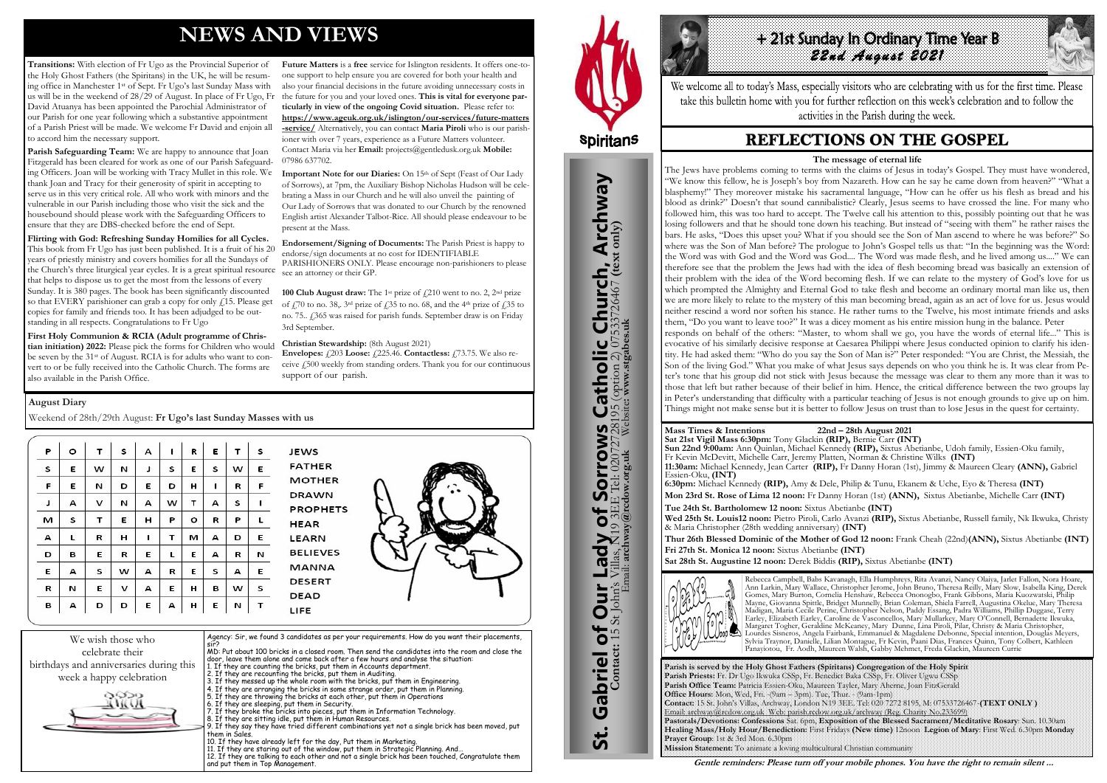# **NEWS AND VIEWS**

**Transitions:** With election of Fr Ugo as the Provincial Superior of the Holy Ghost Fathers (the Spiritans) in the UK, he will be resuming office in Manchester 1st of Sept. Fr Ugo's last Sunday Mass with us will be in the weekend of 28/29 of August. In place of Fr Ugo, Fr David Atuanya has been appointed the Parochial Administrator of our Parish for one year following which a substantive appointment of a Parish Priest will be made. We welcome Fr David and enjoin all to accord him the necessary support.

Parish Safeguarding Team: We are happy to announce that Joan Fitzgerald has been cleared for work as one of our Parish Safeguarding Officers. Joan will be working with Tracy Mullet in this role. We thank Joan and Tracy for their generosity of spirit in accepting to serve us in this very critical role. All who work with minors and the vulnerable in our Parish including those who visit the sick and the housebound should please work with the Safeguarding Officers to ensure that they are DBS-checked before the end of Sept.

**Flirting with God: Refreshing Sunday Homilies for all Cycles.**  This book from Fr Ugo has just been published. It is a fruit of his 20 years of priestly ministry and covers homilies for all the Sundays of the Church's three liturgical year cycles. It is a great spiritual resource that helps to dispose us to get the most from the lessons of every Sunday. It is 380 pages. The book has been significantly discounted so that EVERY parishioner can grab a copy for only  $f(15)$ . Please get copies for family and friends too. It has been adjudged to be outstanding in all respects. Congratulations to Fr Ugo

Important Note for our Diaries: On 15th of Sept (Feast of Our Lady of Sorrows), at 7pm, the Auxiliary Bishop Nicholas Hudson will be celebrating a Mass in our Church and he will also unveil the painting of Our Lady of Sorrows that was donated to our Church by the renowned English artist Alexander Talbot-Rice. All should please endeavour to be present at the Mass.

**100 Club August draw:** The 1<sup>st</sup> prize of  $\ell$ 210 went to no. 2, 2<sup>nd</sup> prize of  $\frac{1}{2}$ 70 to no. 38,. 3<sup>rd</sup> prize of  $\frac{1}{2}$ 35 to no. 68, and the 4<sup>th</sup> prize of  $\frac{1}{2}$ 35 to no. 75.. £365 was raised for parish funds. September draw is on Friday 3rd September.

**Envelopes:**  $\angle$  203 **Loose:**  $\angle$  225.46. **Contactless:**  $\angle$  73.75. We also receive £500 weekly from standing orders. Thank you for our continuous support of our parish.

**First Holy Communion & RCIA (Adult programme of Christian initiation) 2022:** Please pick the forms for Children who would be seven by the 31st of August. RCIA is for adults who want to convert to or be fully received into the Catholic Church. The forms are also available in the Parish Office.

**Future Matters** is a **free** service for Islington residents. It offers one-toone support to help ensure you are covered for both your health and also your financial decisions in the future avoiding unnecessary costs in the future for you and your loved ones. **This is vital for everyone particularly in view of the ongoing Covid situation.** Please refer to: **[https://www.ageuk.org.uk/islington/our-services/future-matters](https://www.ageuk.org.uk/islington/our-services/future-matters-service/) [-service/](https://www.ageuk.org.uk/islington/our-services/future-matters-service/)** Alternatively, you can contact **Maria Piroli** who is our parishioner with over 7 years, experience as a Future Matters volunteer. Contact Maria via her **Email:** [projects@gentledusk.org.uk](mailto:projects@gentledusk.org.uk) **Mobile:**  07986 637702.

**Endorsement/Signing of Documents:** The Parish Priest is happy to endorse/sign documents at no cost for IDENTIFIABLE PARISHIONERS ONLY. Please encourage non-parishioners to please see an attorney or their GP.

**Christian Stewardship:** (8th August 2021)

| We wish those who<br>celebrate their<br>birthdays and anniversaries during this<br>week a happy celebration | Agency: Sir, we found 3 candidates as per your requirements. How do you want their placements,<br>sir?<br>MD: Put about 100 bricks in a closed room. Then send the candidates into the room and close the<br>door, leave them alone and come back after a few hours and analyse the situation:<br>1. If they are counting the bricks, put them in Accounts department.<br>2. If they are recounting the bricks, put them in Auditing.<br>3. If they messed up the whole room with the bricks, put them in Engineering.<br>4. If they are arranging the bricks in some strange order, put them in Planning.<br>5. If they are throwing the bricks at each other, put them in Operations<br>6. If they are sleeping, put them in Security.<br>7. If they broke the bricks into pieces, put them in Information Technology.<br>8. If they are sitting idle, put them in Human Resources.<br>9. If they say they have tried different combinations yet not a single brick has been moved, put<br>them in Sales.<br>10. If they have already left for the day, Put them in Marketing.<br>11. If they are staring out of the window, put them in Strategic Planning. And |
|-------------------------------------------------------------------------------------------------------------|--------------------------------------------------------------------------------------------------------------------------------------------------------------------------------------------------------------------------------------------------------------------------------------------------------------------------------------------------------------------------------------------------------------------------------------------------------------------------------------------------------------------------------------------------------------------------------------------------------------------------------------------------------------------------------------------------------------------------------------------------------------------------------------------------------------------------------------------------------------------------------------------------------------------------------------------------------------------------------------------------------------------------------------------------------------------------------------------------------------------------------------------------------------------|
|                                                                                                             | 12. If they are talking to each other and not a single brick has been touched, Congratulate them<br>and put them in Top Management.                                                                                                                                                                                                                                                                                                                                                                                                                                                                                                                                                                                                                                                                                                                                                                                                                                                                                                                                                                                                                                |



St. Gabriel of Our Lady of Sorrows Catholic Church, Archway

bf

Lady

Our<sup>1</sup>

Gabriel of Our

<u>ჭ</u>

**Sorrows**<br>E Tel: 020727281

**IS Catholic Church, Archway**<br>28195 (option 2) 07533726467 (text only)

#### **August Diary**

Weekend of 28th/29th August: **Fr Ugo's last Sunday Masses with us** 

| P | o | т | s | А | п | R | E | т | s | <b>JEWS</b>         |
|---|---|---|---|---|---|---|---|---|---|---------------------|
| s | Е | w | N | J | s | Е | s | w | E | FATH                |
| F | Е | И | D | Е | D | н | 1 | R | F | MOTI                |
| J | А | v | N | А | w | т | А | s | 1 | DRAV<br><b>PROP</b> |
| м | s | т | Е | н | P | ۰ | R | Ρ | г | <b>HEAR</b>         |
| А | L | R | н | 1 | т | м | А | D | Е | LEARI               |
| D | в | Ε | R | Е | L | Е | А | R | И | <b>BELIE</b>        |
| E | А | s | w | А | R | Е | s | А | Е | <b>MAN</b>          |
| R | И | E | v | А | Ε | н | в | w | s | <b>DESE</b>         |
| в | А | D | D | E | А | н | E | N | т | <b>DEAD</b><br>LIFE |

**FATHER MOTHER DRAWN PROPHETS HEAR LEARN BELIEVES MANNA DESERT DEAD** LIFE





We welcome all to today's Mass, especially visitors who are celebrating with us for the first time. Please take this bulletin home with you for further reflection on this week's celebration and to follow the activities in the Parish during the week.

# **REFLECTIONS ON THE GOSPEL**

**Parish is served by the Holy Ghost Fathers (Spiritans) Congregation of the Holy Spirit Parish Priests:** Fr. Dr Ugo Ikwuka CSSp, Fr. Benedict Baka CSSp, Fr. Oliver Ugwu CSSp **Parish Office Team:** Patricia Essien-Oku, Maureen Tayler, Mary Aherne, Joan FitzGerald **Office Hours:** Mon, Wed, Fri. -(9am – 3pm). Tue, Thur. - (9am-1pm) Email: archway@rcdow.org.uk Web: parish.rcdow.org.uk/archway (Reg. Charity No.233699) **Prayer Group**: 1st & 3rd Mon. 6.30pm **Mission Statement:** To animate a loving multicultural Christian community



**Contact:** 15 St John's Villas, N19 3EE Tel: 02072728195 (option 2) 07533726467 **(text only)** Email: **archway@rcdow.org.uk** Website**: www.stgabes.uk**

i's Villas, N19 3EE Tel: 0207<br>Email: archway@redow.org.uk

**Sun 22nd 9:00am:** Ann Quinlan, Michael Kennedy **(RIP),** Sixtus Abetianbe, Udoh family, Essien-Oku family,

# **Mass Times & Intentions 22nd – 28th August 2021 Sat 21st Vigil Mass 6:30pm:** Tony Glackin **(RIP),** Bernie Carr **(INT)** Fr Kevin McDevitt, Michelle Carr, Jeremy Platten, Norman & Christine Wilks **(INT)** Essien-Oku, **(INT)**

**11:30am:** Michael Kennedy, Jean Carter **(RIP),** Fr Danny Horan (1st), Jimmy & Maureen Cleary **(ANN),** Gabriel

**6:30pm:** Michael Kennedy **(RIP),** Amy & Dele, Philip & Tunu, Ekanem & Uche, Eyo & Theresa **(INT) Mon 23rd St. Rose of Lima 12 noon:** Fr Danny Horan (1st) **(ANN),** Sixtus Abetianbe, Michelle Carr **(INT) Tue 24th St. Bartholomew 12 noon:** Sixtus Abetianbe **(INT)** 

**Wed 25th St. Louis12 noon:** Pietro Piroli, Carlo Avanzi **(RIP),** Sixtus Abetianbe, Russell family, Nk Ikwuka, Christy & Maria Christopher (28th wedding anniversary) **(INT)** 

**Thur 26th Blessed Dominic of the Mother of God 12 noon:** Frank Cheah (22nd)**(ANN),** Sixtus Abetianbe **(INT) Fri 27th St. Monica 12 noon:** Sixtus Abetianbe **(INT) Sat 28th St. Augustine 12 noon:** Derek Biddis **(RIP),** Sixtus Abetianbe **(INT)**



Rebecca Campbell, Babs Kavanagh, Ella Humphreys, Rita Avanzi, Nancy Olaiya, Jarlet Fallon, Nora Hoare, Ann Larkin, Mary Wallace, Christopher Jerome, John Bruno, Theresa Reilly, Mary Slow, Isabella King, Derek Gomes, Mary Burton, Cornelia Henshaw, Rebecca Ononogbo, Frank Gibbons, Maria Kuozwatski, Philip Mayne, Giovanna Spittle, Bridget Munnelly, Brian Coleman, Shiela Farrell, Augustina Okelue, Mary Theresa Madigan, Maria Cecile Perine, Christopher Nelson, Paddy Essang, Padra Williams, Phillip Duggase, Terry Earley, Elizabeth Earley, Caroline de Vasconcellos, Mary Mullarkey, Mary O'Connell, Bernadette Ikwuka, Margaret Togher, Geraldine McKeaney, Mary Dunne, Lina Piroli, Pilar, Christy & Maria Christopher, Lourdes Sisneros, Angela Fairbank, Emmanuel & Magdalene Debonne, Special intention, Douglas Meyers, Sylvia Traynor, Danielle, Lilian Montague, Fr Kevin, Paani Dias, Frances Quinn, Tony Colbert, Kathleen Panayiotou, Fr. Aodh, Maureen Walsh, Gabby Mehmet, Freda Glackin, Maureen Currie

**Gentle reminders: Please turn off your mobile phones. You have the right to remain silent ...** 

#### **The message of eternal life**

The Jews have problems coming to terms with the claims of Jesus in today's Gospel. They must have wondered, "We know this fellow, he is Joseph's boy from Nazareth. How can he say he came down from heaven?" "What a blasphemy!" They moreover mistake his sacramental language, "How can he offer us his flesh as bread and his blood as drink?" Doesn't that sound cannibalistic? Clearly, Jesus seems to have crossed the line. For many who followed him, this was too hard to accept. The Twelve call his attention to this, possibly pointing out that he was losing followers and that he should tone down his teaching. But instead of "seeing with them" he rather raises the bars. He asks, "Does this upset you? What if you should see the Son of Man ascend to where he was before?" So where was the Son of Man before? The prologue to John's Gospel tells us that: "In the beginning was the Word: the Word was with God and the Word was God.... The Word was made flesh, and he lived among us...." We can therefore see that the problem the Jews had with the idea of flesh becoming bread was basically an extension of their problem with the idea of the Word becoming flesh. If we can relate to the mystery of God's love for us which prompted the Almighty and Eternal God to take flesh and become an ordinary mortal man like us, then we are more likely to relate to the mystery of this man becoming bread, again as an act of love for us. Jesus would neither rescind a word nor soften his stance. He rather turns to the Twelve, his most intimate friends and asks them, "Do you want to leave too?" It was a dicey moment as his entire mission hung in the balance. Peter responds on behalf of the others: "Master, to whom shall we go, you have the words of eternal life..." This is evocative of his similarly decisive response at Caesarea Philippi where Jesus conducted opinion to clarify his identity. He had asked them: "Who do you say the Son of Man is?" Peter responded: "You are Christ, the Messiah, the Son of the living God." What you make of what Jesus says depends on who you think he is. It was clear from Peter's tone that his group did not stick with Jesus because the message was clear to them any more than it was to those that left but rather because of their belief in him. Hence, the critical difference between the two groups lay in Peter's understanding that difficulty with a particular teaching of Jesus is not enough grounds to give up on him. Things might not make sense but it is better to follow Jesus on trust than to lose Jesus in the quest for certainty.